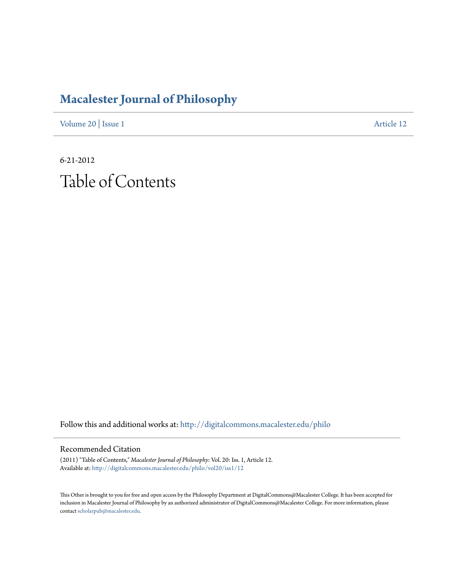## **[Macalester Journal of Philosophy](http://digitalcommons.macalester.edu/philo?utm_source=digitalcommons.macalester.edu%2Fphilo%2Fvol20%2Fiss1%2F12&utm_medium=PDF&utm_campaign=PDFCoverPages)**

[Volume 20](http://digitalcommons.macalester.edu/philo/vol20?utm_source=digitalcommons.macalester.edu%2Fphilo%2Fvol20%2Fiss1%2F12&utm_medium=PDF&utm_campaign=PDFCoverPages) | [Issue 1](http://digitalcommons.macalester.edu/philo/vol20/iss1?utm_source=digitalcommons.macalester.edu%2Fphilo%2Fvol20%2Fiss1%2F12&utm_medium=PDF&utm_campaign=PDFCoverPages) [Article 12](http://digitalcommons.macalester.edu/philo/vol20/iss1/12?utm_source=digitalcommons.macalester.edu%2Fphilo%2Fvol20%2Fiss1%2F12&utm_medium=PDF&utm_campaign=PDFCoverPages)

6-21-2012 Table of Contents

Follow this and additional works at: [http://digitalcommons.macalester.edu/philo](http://digitalcommons.macalester.edu/philo?utm_source=digitalcommons.macalester.edu%2Fphilo%2Fvol20%2Fiss1%2F12&utm_medium=PDF&utm_campaign=PDFCoverPages)

## Recommended Citation

(2011) "Table of Contents," *Macalester Journal of Philosophy*: Vol. 20: Iss. 1, Article 12. Available at: [http://digitalcommons.macalester.edu/philo/vol20/iss1/12](http://digitalcommons.macalester.edu/philo/vol20/iss1/12?utm_source=digitalcommons.macalester.edu%2Fphilo%2Fvol20%2Fiss1%2F12&utm_medium=PDF&utm_campaign=PDFCoverPages)

This Other is brought to you for free and open access by the Philosophy Department at DigitalCommons@Macalester College. It has been accepted for inclusion in Macalester Journal of Philosophy by an authorized administrator of DigitalCommons@Macalester College. For more information, please contact [scholarpub@macalester.edu.](mailto:scholarpub@macalester.edu)